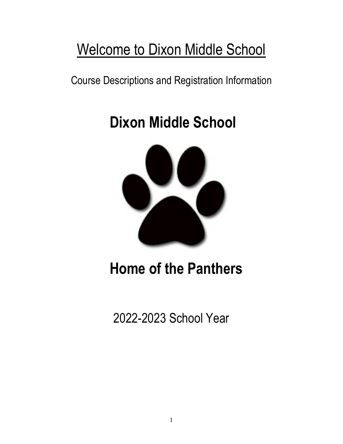# Welcome to Dixon Middle School

Course Descriptions and Registration Information

# **Dixon Middle School**



# **Home of the Panthers**

2022-2023 School Year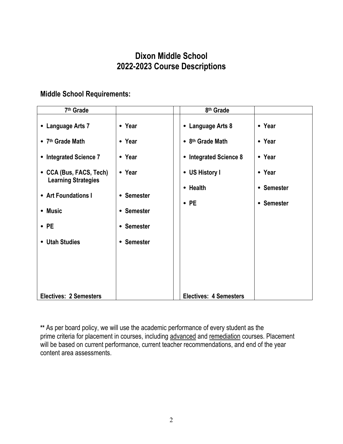# **Dixon Middle School 2022-2023 Course Descriptions**

# **Middle School Requirements:**

| 7 <sup>th</sup> Grade                                 |            | 8 <sup>th</sup> Grade         |            |
|-------------------------------------------------------|------------|-------------------------------|------------|
| • Language Arts 7                                     | • Year     | • Language Arts 8             | • Year     |
| • 7 <sup>th</sup> Grade Math                          | • Year     | • 8 <sup>th</sup> Grade Math  | • Year     |
| • Integrated Science 7                                | • Year     | • Integrated Science 8        | • Year     |
| • CCA (Bus, FACS, Tech)<br><b>Learning Strategies</b> | • Year     | • US History I                | • Year     |
| • Art Foundations I                                   | • Semester | • Health                      | • Semester |
| • Music                                               | • Semester | $\cdot$ PE                    | • Semester |
| $\cdot$ PE                                            | • Semester |                               |            |
|                                                       |            |                               |            |
| • Utah Studies                                        | • Semester |                               |            |
|                                                       |            |                               |            |
|                                                       |            |                               |            |
| <b>Electives: 2 Semesters</b>                         |            | <b>Electives: 4 Semesters</b> |            |

**\*\*** As per board policy, we will use the academic performance of every student as the prime criteria for placement in courses, including advanced and remediation courses. Placement will be based on current performance, current teacher recommendations, and end of the year content area assessments.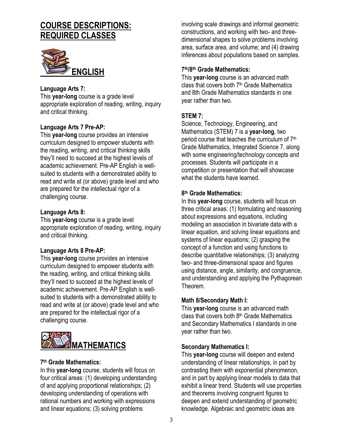# **COURSE DESCRIPTIONS: REQUIRED CLASSES**



## **Language Arts 7:**

This **year-long** course is a grade level appropriate exploration of reading, writing, inquiry and critical thinking.

#### **Language Arts 7 Pre-AP:**

This **year-long** course provides an intensive curriculum designed to empower students with the reading, writing, and critical thinking skills they'll need to succeed at the highest levels of academic achievement. Pre-AP English is wellsuited to students with a demonstrated ability to read and write at (or above) grade level and who are prepared for the intellectual rigor of a challenging course.

#### **Language Arts 8:**

This **year-long** course is a grade level appropriate exploration of reading, writing, inquiry and critical thinking.

#### **Language Arts 8 Pre-AP:**

This **year-long** course provides an intensive curriculum designed to empower students with the reading, writing, and critical thinking skills they'll need to succeed at the highest levels of academic achievement. Pre-AP English is wellsuited to students with a demonstrated ability to read and write at (or above) grade level and who are prepared for the intellectual rigor of a challenging course.



#### **7th Grade Mathematics:**

In this **year-long** course, students will focus on four critical areas: (1) developing understanding of and applying proportional relationships; (2) developing understanding of operations with rational numbers and working with expressions and linear equations; (3) solving problems

involving scale drawings and informal geometric constructions, and working with two- and threedimensional shapes to solve problems involving area, surface area, and volume; and (4) drawing inferences about populations based on samples.

#### **7th/8th Grade Mathematics:**

This **year-long** course is an advanced math class that covers both 7<sup>th</sup> Grade Mathematics and 8th Grade Mathematics standards in one year rather than two.

#### **STEM 7:**

Science, Technology, Engineering, and Mathematics (STEM) 7 is a **year-long**, two period course that teaches the curriculum of 7<sup>th</sup> Grade Mathematics, Integrated Science 7, along with some engineering/technology concepts and processes. Students will participate in a competition or presentation that will showcase what the students have learned

#### **8th Grade Mathematics:**

In this **year-long** course, students will focus on three critical areas: (1) formulating and reasoning about expressions and equations, including modeling an association in bivariate data with a linear equation, and solving linear equations and systems of linear equations; (2) grasping the concept of a function and using functions to describe quantitative relationships; (3) analyzing two- and three-dimensional space and figures using distance, angle, similarity, and congruence, and understanding and applying the Pythagorean Theorem.

#### **Math 8/Secondary Math I:**

This **year-long** course is an advanced math class that covers both  $8<sup>th</sup>$  Grade Mathematics and Secondary Mathematics I standards in one year rather than two.

#### **Secondary Mathematics l:**

This **year-long** course will deepen and extend understanding of linear relationships, in part by contrasting them with exponential phenomenon, and in part by applying linear models to data that exhibit a linear trend. Students will use properties and theorems involving congruent figures to deepen and extend understanding of geometric knowledge. Algebraic and geometric ideas are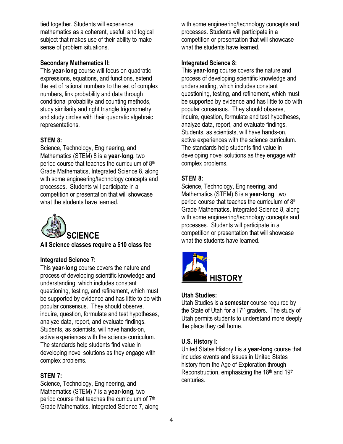tied together. Students will experience mathematics as a coherent, useful, and logical subject that makes use of their ability to make sense of problem situations.

# **Secondary Mathematics II:**

This **year-long** course will focus on quadratic expressions, equations, and functions, extend the set of rational numbers to the set of complex numbers, link probability and data through conditional probability and counting methods, study similarity and right triangle trigonometry, and study circles with their quadratic algebraic representations.

# **STEM 8:**

Science, Technology, Engineering, and Mathematics (STEM) 8 is a **year-long**, two period course that teaches the curriculum of 8th Grade Mathematics, Integrated Science 8, along with some engineering/technology concepts and processes. Students will participate in a competition or presentation that will showcase what the students have learned.



# **All Science classes require a \$10 class fee**

# **Integrated Science 7:**

This **year-long** course covers the nature and process of developing scientific knowledge and understanding, which includes constant questioning, testing, and refinement, which must be supported by evidence and has little to do with popular consensus. They should observe, inquire, question, formulate and test hypotheses, analyze data, report, and evaluate findings. Students, as scientists, will have hands-on, active experiences with the science curriculum. The standards help students find value in developing novel solutions as they engage with complex problems.

# **STEM 7:**

Science, Technology, Engineering, and Mathematics (STEM) 7 is a **year-long**, two period course that teaches the curriculum of 7th Grade Mathematics, Integrated Science 7, along with some engineering/technology concepts and processes. Students will participate in a competition or presentation that will showcase what the students have learned.

# **Integrated Science 8:**

This **year-long** course covers the nature and process of developing scientific knowledge and understanding, which includes constant questioning, testing, and refinement, which must be supported by evidence and has little to do with popular consensus. They should observe, inquire, question, formulate and test hypotheses, analyze data, report, and evaluate findings. Students, as scientists, will have hands-on, active experiences with the science curriculum. The standards help students find value in developing novel solutions as they engage with complex problems.

# **STEM 8:**

Science, Technology, Engineering, and Mathematics (STEM) 8 is a **year-long**, two period course that teaches the curriculum of 8<sup>th</sup> Grade Mathematics, Integrated Science 8, along with some engineering/technology concepts and processes. Students will participate in a competition or presentation that will showcase what the students have learned.



# **Utah Studies:**

Utah Studies is a **semester** course required by the State of Utah for all 7th graders. The study of Utah permits students to understand more deeply the place they call home.

# **U.S. History I:**

United States History I is a **year-long** course that includes events and issues in United States history from the Age of Exploration through Reconstruction, emphasizing the 18th and 19th centuries.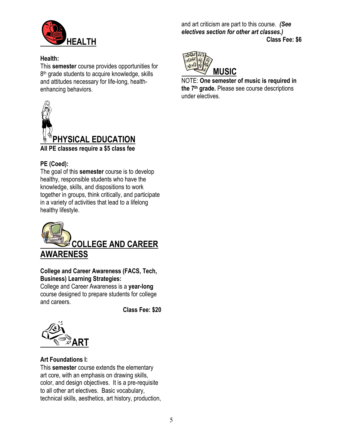

#### **Health:**

This **semester** course provides opportunities for 8<sup>th</sup> grade students to acquire knowledge, skills and attitudes necessary for life-long, healthenhancing behaviors.



# **PE (Coed):**

The goal of this **semester** course is to develop healthy, responsible students who have the knowledge, skills, and dispositions to work together in groups, think critically, and participate in a variety of activities that lead to a lifelong healthy lifestyle.



# **College and Career Awareness (FACS, Tech, Business) Learning Strategies:**

College and Career Awareness is a **year-long** course designed to prepare students for college and careers.

**Class Fee: \$20**



# **Art Foundations I:**

This **semester** course extends the elementary art core, with an emphasis on drawing skills, color, and design objectives. It is a pre-requisite to all other art electives. Basic vocabulary, technical skills, aesthetics, art history, production, and art criticism are part to this course. *(See electives section for other art classes.)* **Class Fee: \$6**



NOTE: **One semester of music is required in the 7th grade.** Please see course descriptions under electives.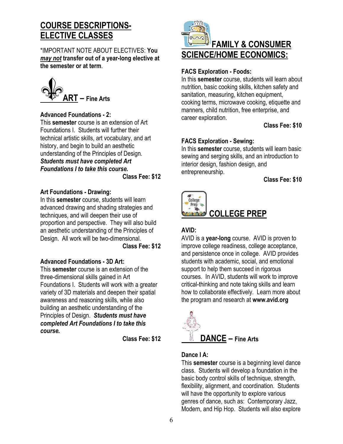# **COURSE DESCRIPTIONS-ELECTIVE CLASSES**

\*IMPORTANT NOTE ABOUT ELECTIVES: **You**  *may not* **transfer out of a year-long elective at the semester or at term**.



#### **Advanced Foundations - 2:**

This **semester** course is an extension of Art Foundations I. Students will further their technical artistic skills, art vocabulary, and art history, and begin to build an aesthetic understanding of the Principles of Design. *Students must have completed Art Foundations I to take this course.*

 **Class Fee: \$12**

#### **Art Foundations - Drawing:**

In this **semester** course, students will learn advanced drawing and shading strategies and techniques, and will deepen their use of proportion and perspective. They will also build an aesthetic understanding of the Principles of Design. All work will be two-dimensional.

 **Class Fee: \$12**

# **Advanced Foundations - 3D Art:**

This **semester** course is an extension of the three-dimensional skills gained in Art Foundations I. Students will work with a greater variety of 3D materials and deepen their spatial awareness and reasoning skills, while also building an aesthetic understanding of the Principles of Design. *Students must have completed Art Foundations I to take this course.*

 **Class Fee: \$12**



#### **FACS Exploration - Foods:**

In this **semester** course, students will learn about nutrition, basic cooking skills, kitchen safety and sanitation, measuring, kitchen equipment, cooking terms, microwave cooking, etiquette and manners, child nutrition, free enterprise, and career exploration.

 **Class Fee: \$10**

# **FACS Exploration - Sewing:**

In this **semester** course, students will learn basic sewing and serging skills, and an introduction to interior design, fashion design, and entrepreneurship.

**Class Fee: \$10**



# **AVID:**

AVID is a **year-long** course. AVID is proven to improve college readiness, college acceptance, and persistence once in college. AVID provides students with academic, social, and emotional support to help them succeed in rigorous courses. In AVID, students will work to improve critical-thinking and note taking skills and learn how to collaborate effectively. Learn more about the program and research at **www.avid.org**



# **Dance I A:**

This **semester** course is a beginning level dance class. Students will develop a foundation in the basic body control skills of technique, strength, flexibility, alignment, and coordination. Students will have the opportunity to explore various genres of dance, such as: Contemporary Jazz, Modern, and Hip Hop. Students will also explore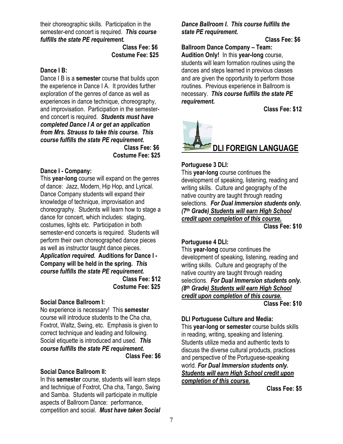their choreographic skills. Participation in the semester-end concert is required. *This course fulfills the state PE requirement.*

> **Class Fee: \$6 Costume Fee: \$25**

#### **Dance I B:**

Dance I B is a **semester** course that builds upon the experience in Dance I A. It provides further exploration of the genres of dance as well as experiences in dance technique, choreography, and improvisation. Participation in the semesterend concert is required. *Students must have completed Dance I A or get an application from Mrs. Strauss to take this course. This course fulfills the state PE requirement.*  **Class Fee: \$6 Costume Fee: \$25**

#### **Dance I - Company:**

This **year-long** course will expand on the genres of dance: Jazz, Modern, Hip Hop, and Lyrical. Dance Company students will expand their knowledge of technique, improvisation and choreography. Students will learn how to stage a dance for concert, which includes: staging, costumes, lights etc. Participation in both semester-end concerts is required. Students will perform their own choreographed dance pieces as well as instructor taught dance pieces. *Application required.* **Auditions for Dance I - Company will be held in the spring.** *This course fulfills the state PE requirement.*

**Class Fee: \$12 Costume Fee: \$25**

#### **Social Dance Ballroom I:**

No experience is necessary! This **semester** course will introduce students to the Cha cha, Foxtrot, Waltz, Swing, etc. Emphasis is given to correct technique and leading and following. Social etiquette is introduced and used. *This course fulfills the state PE requirement.*  **Class Fee: \$6**

#### **Social Dance Ballroom II:**

In this **semester** course, students will learn steps and technique of Foxtrot, Cha cha, Tango, Swing and Samba. Students will participate in multiple aspects of Ballroom Dance: performance, competition and social. *Must have taken Social*  *Dance Ballroom I.**This course fulfills the state PE requirement.*

#### **Class Fee: \$6**

**Ballroom Dance Company – Team: Audition Only!** In this **year-long** course, students will learn formation routines using the dances and steps learned in previous classes and are given the opportunity to perform those routines. Previous experience in Ballroom is necessary. *This course fulfills the state PE requirement.*

**Class Fee: \$12**



#### **Portuguese 3 DLI:**

This **year-long** course continues the development of speaking, listening, reading and writing skills. Culture and geography of the native country are taught through reading selections. *For Dual Immersion students only. (7th Grade) Students will earn High School credit upon completion of this course.*

**Class Fee: \$10**

#### **Portuguese 4 DLI:**

This **year-long** course continues the development of speaking, listening, reading and writing skills. Culture and geography of the native country are taught through reading selections. *For Dual Immersion students only. (8th Grade) Students will earn High School credit upon completion of this course.* **Class Fee: \$10**

#### **DLI Portuguese Culture and Media:**

This **year-long or semester** course builds skills in reading, writing, speaking and listening. Students utilize media and authentic texts to discuss the diverse cultural products, practices and perspective of the Portuguese-speaking world. *For Dual Immersion students only. Students will earn High School credit upon completion of this course.*

 **Class Fee: \$5**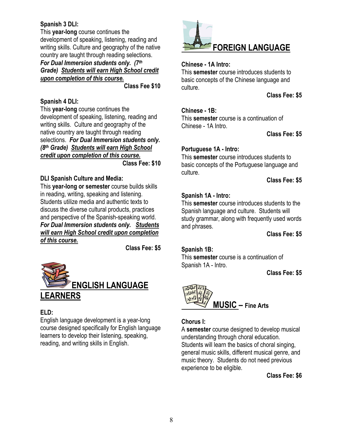# **Spanish 3 DLI:**

This **year-long** course continues the development of speaking, listening, reading and writing skills. Culture and geography of the native country are taught through reading selections. *For Dual Immersion students only. (7th*

*Grade) Students will earn High School credit upon completion of this course.*

**Class Fee \$10**

# **Spanish 4 DLI:**

This **year-long** course continues the development of speaking, listening, reading and writing skills. Culture and geography of the native country are taught through reading selections. *For Dual Immersion students only. (8th Grade) Students will earn High School credit upon completion of this course.*  **Class Fee: \$10**

#### **DLI Spanish Culture and Media:**

This **year-long or semester** course builds skills in reading, writing, speaking and listening. Students utilize media and authentic texts to discuss the diverse cultural products, practices and perspective of the Spanish-speaking world. *For Dual Immersion students only. Students will earn High School credit upon completion of this course.*

 **Class Fee: \$5**



# **ELD:**

English language development is a year-long course designed specifically for English language learners to develop their listening, speaking, reading, and writing skills in English.



## **Chinese - 1A Intro:**

This **semester** course introduces students to basic concepts of the Chinese language and culture.

**Class Fee: \$5**

#### **Chinese - 1B:**

This **semester** course is a continuation of Chinese - 1A Intro.

**Class Fee: \$5**

#### **Portuguese 1A - Intro:**

This **semester** course introduces students to basic concepts of the Portuguese language and culture.

**Class Fee: \$5**

#### **Spanish 1A - Intro:**

This **semester** course introduces students to the Spanish language and culture. Students will study grammar, along with frequently used words and phrases.

**Class Fee: \$5**

#### **Spanish 1B:**

This **semester** course is a continuation of Spanish 1A - Intro.

 **Class Fee: \$5**



#### **Chorus I:**

A **semester** course designed to develop musical understanding through choral education. Students will learn the basics of choral singing, general music skills, different musical genre, and music theory. Students do not need previous experience to be eligible.

**Class Fee: \$6**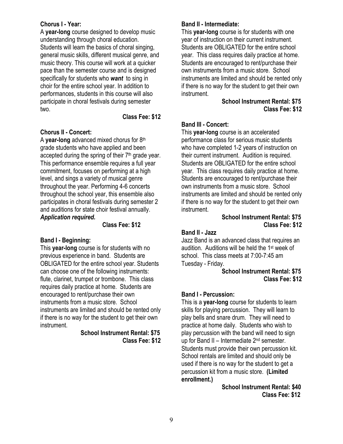#### **Chorus I - Year:**

A **year-long** course designed to develop music understanding through choral education. Students will learn the basics of choral singing, general music skills, different musical genre, and music theory. This course will work at a quicker pace than the semester course and is designed specifically for students who *want* to sing in choir for the entire school year. In addition to performances, students in this course will also participate in choral festivals during semester two.

#### **Class Fee: \$12**

#### **Chorus II - Concert:**

A **year-long** advanced mixed chorus for 8th grade students who have applied and been accepted during the spring of their  $7<sup>th</sup>$  grade year. This performance ensemble requires a full year commitment, focuses on performing at a high level, and sings a variety of musical genre throughout the year. Performing 4-6 concerts throughout the school year, this ensemble also participates in choral festivals during semester 2 and auditions for state choir festival annually. *Application required.*

#### **Class Fee: \$12**

#### **Band I - Beginning:**

This **year-long** course is for students with no previous experience in band. Students are OBLIGATED for the entire school year. Students can choose one of the following instruments: flute, clarinet, trumpet or trombone. This class requires daily practice at home. Students are encouraged to rent/purchase their own instruments from a music store. School instruments are limited and should be rented only if there is no way for the student to get their own instrument.

 **School Instrument Rental: \$75 Class Fee: \$12**

## **Band II - Intermediate:**

This **year-long** course is for students with one year of instruction on their current instrument. Students are OBLIGATED for the entire school year. This class requires daily practice at home. Students are encouraged to rent/purchase their own instruments from a music store. School instruments are limited and should be rented only if there is no way for the student to get their own instrument.

> **School Instrument Rental: \$75 Class Fee: \$12**

#### **Band III - Concert:**

This **year-long** course is an accelerated performance class for serious music students who have completed 1-2 years of instruction on their current instrument. Audition is required. Students are OBLIGATED for the entire school year. This class requires daily practice at home. Students are encouraged to rent/purchase their own instruments from a music store. School instruments are limited and should be rented only if there is no way for the student to get their own instrument.

#### **School Instrument Rental: \$75 Class Fee: \$12**

#### **Band II - Jazz**

Jazz Band is an advanced class that requires an audition. Auditions will be held the 1st week of school. This class meets at 7:00-7:45 am Tuesday - Friday.

#### **School Instrument Rental: \$75 Class Fee: \$12**

#### **Band I - Percussion:**

This is a **year-long** course for students to learn skills for playing percussion. They will learn to play bells and snare drum. They will need to practice at home daily. Students who wish to play percussion with the band will need to sign up for Band II – Intermediate  $2<sup>nd</sup>$  semester. Students must provide their own percussion kit. School rentals are limited and should only be used if there is no way for the student to get a percussion kit from a music store. **(Limited enrollment.)**

 **School Instrument Rental: \$40 Class Fee: \$12**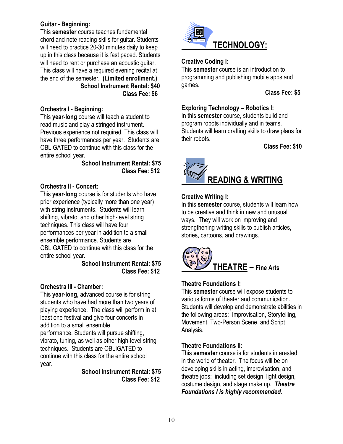# **Guitar - Beginning:**

This **semester** course teaches fundamental chord and note reading skills for guitar. Students will need to practice 20-30 minutes daily to keep up in this class because it is fast paced. Students will need to rent or purchase an acoustic quitar. This class will have a required evening recital at the end of the semester. **(Limited enrollment.) School Instrument Rental: \$40 Class Fee: \$6**

# **Orchestra I - Beginning:**

This **year-long** course will teach a student to read music and play a stringed instrument. Previous experience not required. This class will have three performances per year. Students are OBLIGATED to continue with this class for the entire school year.

#### **School Instrument Rental: \$75 Class Fee: \$12**

# **Orchestra II - Concert:**

This **year-long** course is for students who have prior experience (typically more than one year) with string instruments. Students will learn shifting, vibrato, and other high-level string techniques. This class will have four performances per year in addition to a small ensemble performance. Students are OBLIGATED to continue with this class for the entire school year.

#### **School Instrument Rental: \$75 Class Fee: \$12**

# **Orchestra III - Chamber:**

This **year-long,** advanced course is for string students who have had more than two years of playing experience. The class will perform in at least one festival and give four concerts in addition to a small ensemble performance. Students will pursue shifting, vibrato, tuning, as well as other high-level string techniques. Students are OBLIGATED to continue with this class for the entire school year.

> **School Instrument Rental: \$75 Class Fee: \$12**



# **Creative Coding I:**

This **semester** course is an introduction to programming and publishing mobile apps and games.

#### **Class Fee: \$5**

# **Exploring Technology – Robotics I:**

In this **semester** course, students build and program robots individually and in teams. Students will learn drafting skills to draw plans for their robots.

**Class Fee: \$10**



# **Creative Writing I:**

In this **semester** course, students will learn how to be creative and think in new and unusual ways. They will work on improving and strengthening writing skills to publish articles, stories, cartoons, and drawings.



# **Theatre Foundations I:**

This **semester** course will expose students to various forms of theater and communication. Students will develop and demonstrate abilities in the following areas: Improvisation, Storytelling, Movement, Two-Person Scene, and Script Analysis.

# **Theatre Foundations II:**

This **semester** course is for students interested in the world of theater. The focus will be on developing skills in acting, improvisation, and theatre jobs: including set design, light design, costume design, and stage make up. *Theatre Foundations I is highly recommended.*